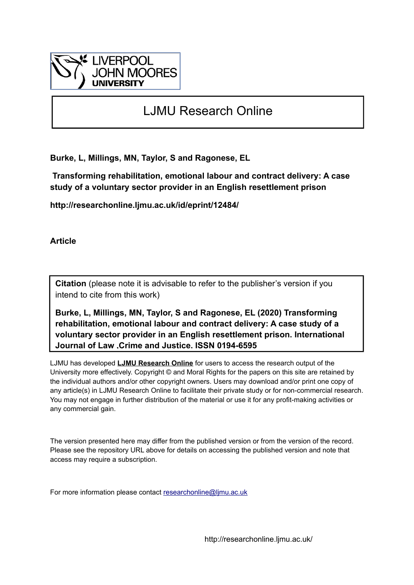

# LJMU Research Online

**Burke, L, Millings, MN, Taylor, S and Ragonese, EL**

 **Transforming rehabilitation, emotional labour and contract delivery: A case study of a voluntary sector provider in an English resettlement prison**

**http://researchonline.ljmu.ac.uk/id/eprint/12484/**

**Article**

**Citation** (please note it is advisable to refer to the publisher's version if you intend to cite from this work)

**Burke, L, Millings, MN, Taylor, S and Ragonese, EL (2020) Transforming rehabilitation, emotional labour and contract delivery: A case study of a voluntary sector provider in an English resettlement prison. International Journal of Law ,Crime and Justice. ISSN 0194-6595** 

LJMU has developed **[LJMU Research Online](http://researchonline.ljmu.ac.uk/)** for users to access the research output of the University more effectively. Copyright © and Moral Rights for the papers on this site are retained by the individual authors and/or other copyright owners. Users may download and/or print one copy of any article(s) in LJMU Research Online to facilitate their private study or for non-commercial research. You may not engage in further distribution of the material or use it for any profit-making activities or any commercial gain.

The version presented here may differ from the published version or from the version of the record. Please see the repository URL above for details on accessing the published version and note that access may require a subscription.

For more information please contact [researchonline@ljmu.ac.uk](mailto:researchonline@ljmu.ac.uk)

http://researchonline.ljmu.ac.uk/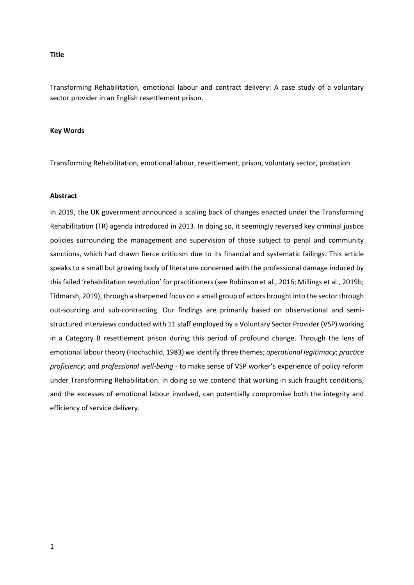#### **Title**

Transforming Rehabilitation, emotional labour and contract delivery: A case study of a voluntary sector provider in an English resettlement prison.

## **Key Words**

Transforming Rehabilitation, emotional labour, resettlement, prison, voluntary sector, probation

#### **Abstract**

In 2019, the UK government announced a scaling back of changes enacted under the Transforming Rehabilitation (TR) agenda introduced in 2013. In doing so, it seemingly reversed key criminal justice policies surrounding the management and supervision of those subject to penal and community sanctions, which had drawn fierce criticism due to its financial and systematic failings. This article speaks to a small but growing body of literature concerned with the professional damage induced by this failed 'rehabilitation revolution' for practitioners (see Robinson et al., 2016; Millings et al., 2019b; Tidmarsh, 2019), through a sharpened focus on a small group of actors brought into the sector through out-sourcing and sub-contracting. Our findings are primarily based on observational and semistructured interviews conducted with 11 staff employed by a Voluntary Sector Provider (VSP) working in a Category B resettlement prison during this period of profound change. Through the lens of emotional labour theory (Hochschild, 1983) we identify three themes; *operational legitimacy*; *practice proficiency*; and *professional well-being* - to make sense of VSP worker's experience of policy reform under Transforming Rehabilitation. In doing so we contend that working in such fraught conditions, and the excesses of emotional labour involved, can potentially compromise both the integrity and efficiency of service delivery.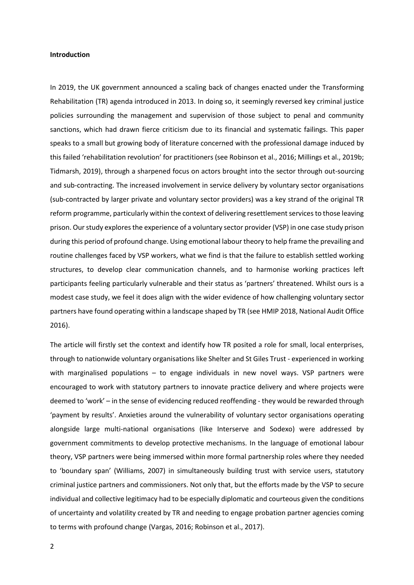### **Introduction**

In 2019, the UK government announced a scaling back of changes enacted under the Transforming Rehabilitation (TR) agenda introduced in 2013. In doing so, it seemingly reversed key criminal justice policies surrounding the management and supervision of those subject to penal and community sanctions, which had drawn fierce criticism due to its financial and systematic failings. This paper speaks to a small but growing body of literature concerned with the professional damage induced by this failed 'rehabilitation revolution' for practitioners (see Robinson et al., 2016; Millings et al., 2019b; Tidmarsh, 2019), through a sharpened focus on actors brought into the sector through out-sourcing and sub-contracting. The increased involvement in service delivery by voluntary sector organisations (sub-contracted by larger private and voluntary sector providers) was a key strand of the original TR reform programme, particularly within the context of delivering resettlement services to those leaving prison. Our study explores the experience of a voluntary sector provider (VSP) in one case study prison during this period of profound change. Using emotional labour theory to help frame the prevailing and routine challenges faced by VSP workers, what we find is that the failure to establish settled working structures, to develop clear communication channels, and to harmonise working practices left participants feeling particularly vulnerable and their status as 'partners' threatened. Whilst ours is a modest case study, we feel it does align with the wider evidence of how challenging voluntary sector partners have found operating within a landscape shaped by TR (see HMIP 2018, National Audit Office 2016).

The article will firstly set the context and identify how TR posited a role for small, local enterprises, through to nationwide voluntary organisations like Shelter and St Giles Trust - experienced in working with marginalised populations – to engage individuals in new novel ways. VSP partners were encouraged to work with statutory partners to innovate practice delivery and where projects were deemed to 'work' – in the sense of evidencing reduced reoffending - they would be rewarded through 'payment by results'. Anxieties around the vulnerability of voluntary sector organisations operating alongside large multi-national organisations (like Interserve and Sodexo) were addressed by government commitments to develop protective mechanisms. In the language of emotional labour theory, VSP partners were being immersed within more formal partnership roles where they needed to 'boundary span' (Williams, 2007) in simultaneously building trust with service users, statutory criminal justice partners and commissioners. Not only that, but the efforts made by the VSP to secure individual and collective legitimacy had to be especially diplomatic and courteous given the conditions of uncertainty and volatility created by TR and needing to engage probation partner agencies coming to terms with profound change (Vargas, 2016; Robinson et al., 2017).

2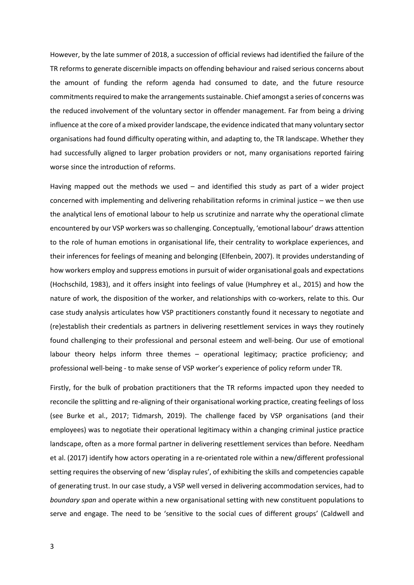However, by the late summer of 2018, a succession of official reviews had identified the failure of the TR reforms to generate discernible impacts on offending behaviour and raised serious concerns about the amount of funding the reform agenda had consumed to date, and the future resource commitments required to make the arrangements sustainable. Chief amongst a series of concerns was the reduced involvement of the voluntary sector in offender management. Far from being a driving influence at the core of a mixed provider landscape, the evidence indicated that many voluntary sector organisations had found difficulty operating within, and adapting to, the TR landscape. Whether they had successfully aligned to larger probation providers or not, many organisations reported fairing worse since the introduction of reforms.

Having mapped out the methods we used – and identified this study as part of a wider project concerned with implementing and delivering rehabilitation reforms in criminal justice – we then use the analytical lens of emotional labour to help us scrutinize and narrate why the operational climate encountered by our VSP workers was so challenging. Conceptually, 'emotional labour' draws attention to the role of human emotions in organisational life, their centrality to workplace experiences, and their inferences for feelings of meaning and belonging (Elfenbein, 2007). It provides understanding of how workers employ and suppress emotions in pursuit of wider organisational goals and expectations (Hochschild, 1983), and it offers insight into feelings of value (Humphrey et al., 2015) and how the nature of work, the disposition of the worker, and relationships with co-workers, relate to this. Our case study analysis articulates how VSP practitioners constantly found it necessary to negotiate and (re)establish their credentials as partners in delivering resettlement services in ways they routinely found challenging to their professional and personal esteem and well-being. Our use of emotional labour theory helps inform three themes – operational legitimacy; practice proficiency; and professional well-being - to make sense of VSP worker's experience of policy reform under TR.

Firstly, for the bulk of probation practitioners that the TR reforms impacted upon they needed to reconcile the splitting and re-aligning of their organisational working practice, creating feelings of loss (see Burke et al., 2017; Tidmarsh, 2019). The challenge faced by VSP organisations (and their employees) was to negotiate their operational legitimacy within a changing criminal justice practice landscape, often as a more formal partner in delivering resettlement services than before. Needham et al. (2017) identify how actors operating in a re-orientated role within a new/different professional setting requires the observing of new 'display rules', of exhibiting the skills and competencies capable of generating trust. In our case study, a VSP well versed in delivering accommodation services, had to *boundary span* and operate within a new organisational setting with new constituent populations to serve and engage. The need to be 'sensitive to the social cues of different groups' (Caldwell and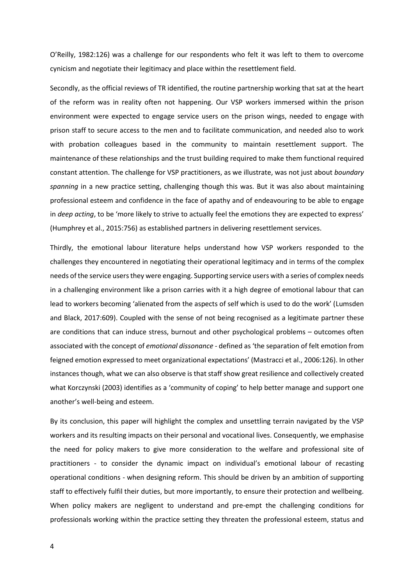O'Reilly, 1982:126) was a challenge for our respondents who felt it was left to them to overcome cynicism and negotiate their legitimacy and place within the resettlement field.

Secondly, as the official reviews of TR identified, the routine partnership working that sat at the heart of the reform was in reality often not happening. Our VSP workers immersed within the prison environment were expected to engage service users on the prison wings, needed to engage with prison staff to secure access to the men and to facilitate communication, and needed also to work with probation colleagues based in the community to maintain resettlement support. The maintenance of these relationships and the trust building required to make them functional required constant attention. The challenge for VSP practitioners, as we illustrate, was not just about *boundary spanning* in a new practice setting, challenging though this was. But it was also about maintaining professional esteem and confidence in the face of apathy and of endeavouring to be able to engage in *deep acting*, to be 'more likely to strive to actually feel the emotions they are expected to express' (Humphrey et al., 2015:756) as established partners in delivering resettlement services.

Thirdly, the emotional labour literature helps understand how VSP workers responded to the challenges they encountered in negotiating their operational legitimacy and in terms of the complex needs of the service users they were engaging. Supporting service users with a series of complex needs in a challenging environment like a prison carries with it a high degree of emotional labour that can lead to workers becoming 'alienated from the aspects of self which is used to do the work' (Lumsden and Black, 2017:609). Coupled with the sense of not being recognised as a legitimate partner these are conditions that can induce stress, burnout and other psychological problems – outcomes often associated with the concept of *emotional dissonance* - defined as 'the separation of felt emotion from feigned emotion expressed to meet organizational expectations' (Mastracci et al., 2006:126). In other instances though, what we can also observe is that staff show great resilience and collectively created what Korczynski (2003) identifies as a 'community of coping' to help better manage and support one another's well-being and esteem.

By its conclusion, this paper will highlight the complex and unsettling terrain navigated by the VSP workers and its resulting impacts on their personal and vocational lives. Consequently, we emphasise the need for policy makers to give more consideration to the welfare and professional site of practitioners - to consider the dynamic impact on individual's emotional labour of recasting operational conditions - when designing reform. This should be driven by an ambition of supporting staff to effectively fulfil their duties, but more importantly, to ensure their protection and wellbeing. When policy makers are negligent to understand and pre-empt the challenging conditions for professionals working within the practice setting they threaten the professional esteem, status and

4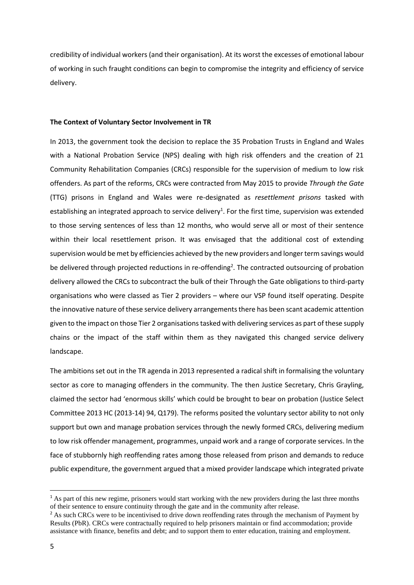credibility of individual workers (and their organisation). At its worst the excesses of emotional labour of working in such fraught conditions can begin to compromise the integrity and efficiency of service delivery.

#### **The Context of Voluntary Sector Involvement in TR**

In 2013, the government took the decision to replace the 35 Probation Trusts in England and Wales with a National Probation Service (NPS) dealing with high risk offenders and the creation of 21 Community Rehabilitation Companies (CRCs) responsible for the supervision of medium to low risk offenders. As part of the reforms, CRCs were contracted from May 2015 to provide *Through the Gate*  (TTG) prisons in England and Wales were re-designated as *resettlement prisons* tasked with establishing an integrated approach to service delivery<sup>1</sup>. For the first time, supervision was extended to those serving sentences of less than 12 months, who would serve all or most of their sentence within their local resettlement prison. It was envisaged that the additional cost of extending supervision would be met by efficiencies achieved by the new providers and longerterm savings would be delivered through projected reductions in re-offending<sup>2</sup>. The contracted outsourcing of probation delivery allowed the CRCs to subcontract the bulk of their Through the Gate obligations to third-party organisations who were classed as Tier 2 providers – where our VSP found itself operating. Despite the innovative nature of these service delivery arrangements there has been scant academic attention given to the impact on those Tier 2 organisations tasked with delivering services as part of these supply chains or the impact of the staff within them as they navigated this changed service delivery landscape.

The ambitions set out in the TR agenda in 2013 represented a radical shift in formalising the voluntary sector as core to managing offenders in the community. The then Justice Secretary, Chris Grayling, claimed the sector had 'enormous skills' which could be brought to bear on probation (Justice Select Committee 2013 HC (2013-14) 94, Q179). The reforms posited the voluntary sector ability to not only support but own and manage probation services through the newly formed CRCs, delivering medium to low risk offender management, programmes, unpaid work and a range of corporate services. In the face of stubbornly high reoffending rates among those released from prison and demands to reduce public expenditure, the government argued that a mixed provider landscape which integrated private

 $\overline{a}$ 

<sup>&</sup>lt;sup>1</sup> As part of this new regime, prisoners would start working with the new providers during the last three months of their sentence to ensure continuity through the gate and in the community after release.

<sup>&</sup>lt;sup>2</sup> As such CRCs were to be incentivised to drive down reoffending rates through the mechanism of Payment by Results (PbR). CRCs were contractually required to help prisoners maintain or find accommodation; provide assistance with finance, benefits and debt; and to support them to enter education, training and employment.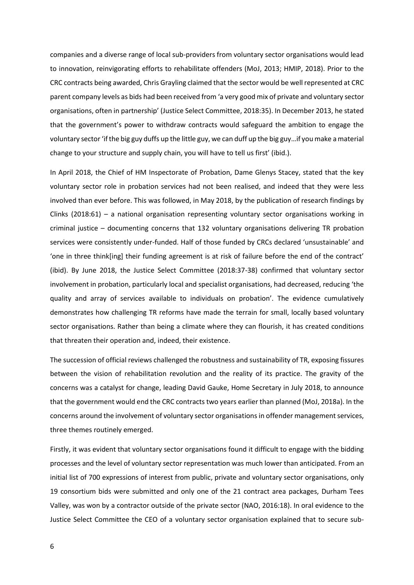companies and a diverse range of local sub-providers from voluntary sector organisations would lead to innovation, reinvigorating efforts to rehabilitate offenders (MoJ, 2013; HMIP, 2018). Prior to the CRC contracts being awarded, Chris Grayling claimed that the sector would be well represented at CRC parent company levels as bids had been received from 'a very good mix of private and voluntary sector organisations, often in partnership' (Justice Select Committee, 2018:35). In December 2013, he stated that the government's power to withdraw contracts would safeguard the ambition to engage the voluntary sector 'if the big guy duffs up the little guy, we can duff up the big guy…if you make a material change to your structure and supply chain, you will have to tell us first' (ibid.).

In April 2018, the Chief of HM Inspectorate of Probation, Dame Glenys Stacey, stated that the key voluntary sector role in probation services had not been realised, and indeed that they were less involved than ever before. This was followed, in May 2018, by the publication of research findings by Clinks (2018:61) – a national organisation representing voluntary sector organisations working in criminal justice – documenting concerns that 132 voluntary organisations delivering TR probation services were consistently under-funded. Half of those funded by CRCs declared 'unsustainable' and 'one in three think[ing] their funding agreement is at risk of failure before the end of the contract' (ibid). By June 2018, the Justice Select Committee (2018:37-38) confirmed that voluntary sector involvement in probation, particularly local and specialist organisations, had decreased, reducing 'the quality and array of services available to individuals on probation'. The evidence cumulatively demonstrates how challenging TR reforms have made the terrain for small, locally based voluntary sector organisations. Rather than being a climate where they can flourish, it has created conditions that threaten their operation and, indeed, their existence.

The succession of official reviews challenged the robustness and sustainability of TR, exposing fissures between the vision of rehabilitation revolution and the reality of its practice. The gravity of the concerns was a catalyst for change, leading David Gauke, Home Secretary in July 2018, to announce that the government would end the CRC contracts two years earlier than planned (MoJ, 2018a). In the concerns around the involvement of voluntary sector organisations in offender management services, three themes routinely emerged.

Firstly, it was evident that voluntary sector organisations found it difficult to engage with the bidding processes and the level of voluntary sector representation was much lower than anticipated. From an initial list of 700 expressions of interest from public, private and voluntary sector organisations, only 19 consortium bids were submitted and only one of the 21 contract area packages, Durham Tees Valley, was won by a contractor outside of the private sector (NAO, 2016:18). In oral evidence to the Justice Select Committee the CEO of a voluntary sector organisation explained that to secure sub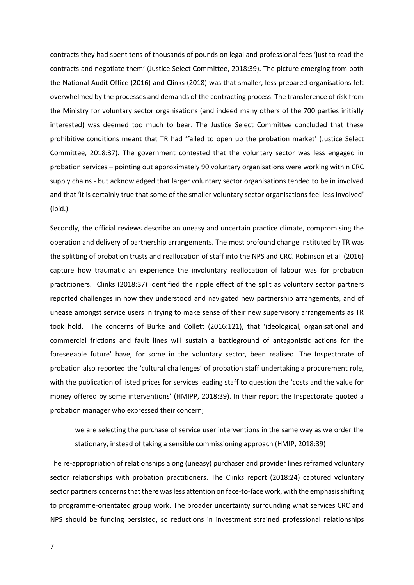contracts they had spent tens of thousands of pounds on legal and professional fees 'just to read the contracts and negotiate them' (Justice Select Committee, 2018:39). The picture emerging from both the National Audit Office (2016) and Clinks (2018) was that smaller, less prepared organisations felt overwhelmed by the processes and demands of the contracting process. The transference of risk from the Ministry for voluntary sector organisations (and indeed many others of the 700 parties initially interested) was deemed too much to bear. The Justice Select Committee concluded that these prohibitive conditions meant that TR had 'failed to open up the probation market' (Justice Select Committee, 2018:37). The government contested that the voluntary sector was less engaged in probation services – pointing out approximately 90 voluntary organisations were working within CRC supply chains - but acknowledged that larger voluntary sector organisations tended to be in involved and that 'it is certainly true that some of the smaller voluntary sector organisations feel less involved' (ibid.).

Secondly, the official reviews describe an uneasy and uncertain practice climate, compromising the operation and delivery of partnership arrangements. The most profound change instituted by TR was the splitting of probation trusts and reallocation of staff into the NPS and CRC. Robinson et al. (2016) capture how traumatic an experience the involuntary reallocation of labour was for probation practitioners. Clinks (2018:37) identified the ripple effect of the split as voluntary sector partners reported challenges in how they understood and navigated new partnership arrangements, and of unease amongst service users in trying to make sense of their new supervisory arrangements as TR took hold. The concerns of Burke and Collett (2016:121), that 'ideological, organisational and commercial frictions and fault lines will sustain a battleground of antagonistic actions for the foreseeable future' have, for some in the voluntary sector, been realised. The Inspectorate of probation also reported the 'cultural challenges' of probation staff undertaking a procurement role, with the publication of listed prices for services leading staff to question the 'costs and the value for money offered by some interventions' (HMIPP, 2018:39). In their report the Inspectorate quoted a probation manager who expressed their concern;

we are selecting the purchase of service user interventions in the same way as we order the stationary, instead of taking a sensible commissioning approach (HMIP, 2018:39)

The re-appropriation of relationships along (uneasy) purchaser and provider lines reframed voluntary sector relationships with probation practitioners. The Clinks report (2018:24) captured voluntary sector partners concerns that there was less attention on face-to-face work, with the emphasis shifting to programme-orientated group work. The broader uncertainty surrounding what services CRC and NPS should be funding persisted, so reductions in investment strained professional relationships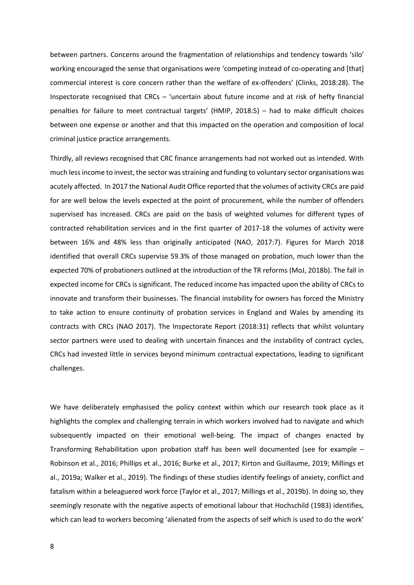between partners. Concerns around the fragmentation of relationships and tendency towards 'silo' working encouraged the sense that organisations were 'competing instead of co-operating and [that] commercial interest is core concern rather than the welfare of ex-offenders' (Clinks, 2018:28). The Inspectorate recognised that CRCs – 'uncertain about future income and at risk of hefty financial penalties for failure to meet contractual targets' (HMIP, 2018:5) – had to make difficult choices between one expense or another and that this impacted on the operation and composition of local criminal justice practice arrangements.

Thirdly, all reviews recognised that CRC finance arrangements had not worked out as intended. With much less income to invest, the sector was straining and funding to voluntary sector organisations was acutely affected. In 2017 the National Audit Office reported that the volumes of activity CRCs are paid for are well below the levels expected at the point of procurement, while the number of offenders supervised has increased. CRCs are paid on the basis of weighted volumes for different types of contracted rehabilitation services and in the first quarter of 2017-18 the volumes of activity were between 16% and 48% less than originally anticipated (NAO, 2017:7). Figures for March 2018 identified that overall CRCs supervise 59.3% of those managed on probation, much lower than the expected 70% of probationers outlined at the introduction of the TR reforms (MoJ, 2018b). The fall in expected income for CRCs is significant. The reduced income has impacted upon the ability of CRCs to innovate and transform their businesses. The financial instability for owners has forced the Ministry to take action to ensure continuity of probation services in England and Wales by amending its contracts with CRCs (NAO 2017). The Inspectorate Report (2018:31) reflects that whilst voluntary sector partners were used to dealing with uncertain finances and the instability of contract cycles, CRCs had invested little in services beyond minimum contractual expectations, leading to significant challenges.

We have deliberately emphasised the policy context within which our research took place as it highlights the complex and challenging terrain in which workers involved had to navigate and which subsequently impacted on their emotional well-being. The impact of changes enacted by Transforming Rehabilitation upon probation staff has been well documented (see for example – Robinson et al., 2016; Phillips et al., 2016; Burke et al., 2017; Kirton and Guillaume, 2019; Millings et al., 2019a; Walker et al., 2019). The findings of these studies identify feelings of anxiety, conflict and fatalism within a beleaguered work force (Taylor et al., 2017; Millings et al., 2019b). In doing so, they seemingly resonate with the negative aspects of emotional labour that Hochschild (1983) identifies, which can lead to workers becoming 'alienated from the aspects of self which is used to do the work'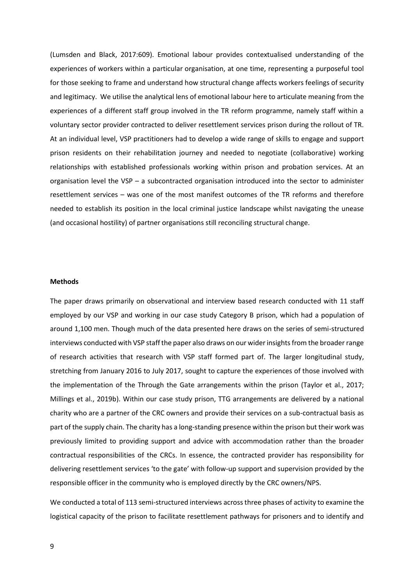(Lumsden and Black, 2017:609). Emotional labour provides contextualised understanding of the experiences of workers within a particular organisation, at one time, representing a purposeful tool for those seeking to frame and understand how structural change affects workers feelings of security and legitimacy. We utilise the analytical lens of emotional labour here to articulate meaning from the experiences of a different staff group involved in the TR reform programme, namely staff within a voluntary sector provider contracted to deliver resettlement services prison during the rollout of TR. At an individual level, VSP practitioners had to develop a wide range of skills to engage and support prison residents on their rehabilitation journey and needed to negotiate (collaborative) working relationships with established professionals working within prison and probation services. At an organisation level the VSP – a subcontracted organisation introduced into the sector to administer resettlement services – was one of the most manifest outcomes of the TR reforms and therefore needed to establish its position in the local criminal justice landscape whilst navigating the unease (and occasional hostility) of partner organisations still reconciling structural change.

## **Methods**

The paper draws primarily on observational and interview based research conducted with 11 staff employed by our VSP and working in our case study Category B prison, which had a population of around 1,100 men. Though much of the data presented here draws on the series of semi-structured interviews conducted with VSP staff the paper also draws on our wider insights from the broader range of research activities that research with VSP staff formed part of. The larger longitudinal study, stretching from January 2016 to July 2017, sought to capture the experiences of those involved with the implementation of the Through the Gate arrangements within the prison (Taylor et al., 2017; Millings et al., 2019b). Within our case study prison, TTG arrangements are delivered by a national charity who are a partner of the CRC owners and provide their services on a sub-contractual basis as part of the supply chain. The charity has a long-standing presence within the prison but their work was previously limited to providing support and advice with accommodation rather than the broader contractual responsibilities of the CRCs. In essence, the contracted provider has responsibility for delivering resettlement services 'to the gate' with follow-up support and supervision provided by the responsible officer in the community who is employed directly by the CRC owners/NPS.

We conducted a total of 113 semi-structured interviews across three phases of activity to examine the logistical capacity of the prison to facilitate resettlement pathways for prisoners and to identify and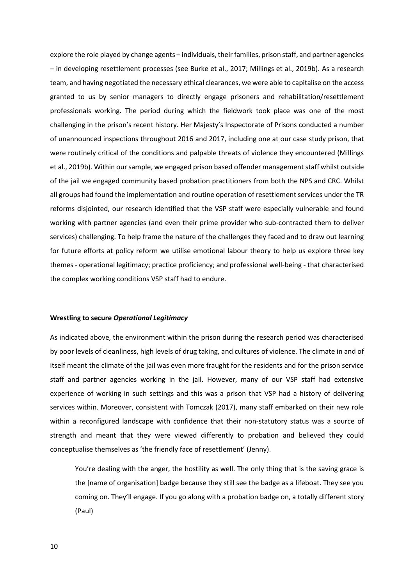explore the role played by change agents – individuals, their families, prison staff, and partner agencies – in developing resettlement processes (see Burke et al., 2017; Millings et al., 2019b). As a research team, and having negotiated the necessary ethical clearances, we were able to capitalise on the access granted to us by senior managers to directly engage prisoners and rehabilitation/resettlement professionals working. The period during which the fieldwork took place was one of the most challenging in the prison's recent history. Her Majesty's Inspectorate of Prisons conducted a number of unannounced inspections throughout 2016 and 2017, including one at our case study prison, that were routinely critical of the conditions and palpable threats of violence they encountered (Millings et al., 2019b). Within our sample, we engaged prison based offender management staff whilst outside of the jail we engaged community based probation practitioners from both the NPS and CRC. Whilst all groups had found the implementation and routine operation of resettlement services under the TR reforms disjointed, our research identified that the VSP staff were especially vulnerable and found working with partner agencies (and even their prime provider who sub-contracted them to deliver services) challenging. To help frame the nature of the challenges they faced and to draw out learning for future efforts at policy reform we utilise emotional labour theory to help us explore three key themes - operational legitimacy; practice proficiency; and professional well-being - that characterised the complex working conditions VSP staff had to endure.

## **Wrestling to secure** *Operational Legitimacy*

As indicated above, the environment within the prison during the research period was characterised by poor levels of cleanliness, high levels of drug taking, and cultures of violence. The climate in and of itself meant the climate of the jail was even more fraught for the residents and for the prison service staff and partner agencies working in the jail. However, many of our VSP staff had extensive experience of working in such settings and this was a prison that VSP had a history of delivering services within. Moreover, consistent with Tomczak (2017), many staff embarked on their new role within a reconfigured landscape with confidence that their non-statutory status was a source of strength and meant that they were viewed differently to probation and believed they could conceptualise themselves as 'the friendly face of resettlement' (Jenny).

You're dealing with the anger, the hostility as well. The only thing that is the saving grace is the [name of organisation] badge because they still see the badge as a lifeboat. They see you coming on. They'll engage. If you go along with a probation badge on, a totally different story (Paul)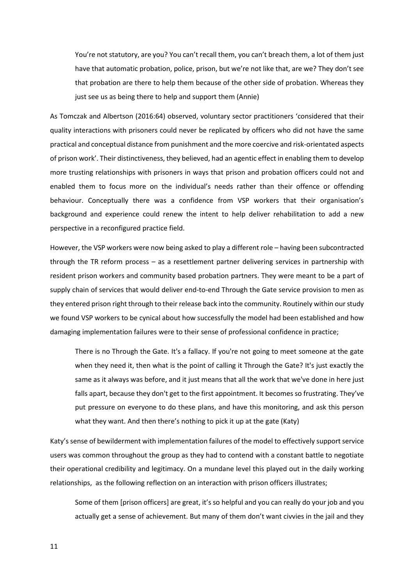You're not statutory, are you? You can't recall them, you can't breach them, a lot of them just have that automatic probation, police, prison, but we're not like that, are we? They don't see that probation are there to help them because of the other side of probation. Whereas they just see us as being there to help and support them (Annie)

As Tomczak and Albertson (2016:64) observed, voluntary sector practitioners 'considered that their quality interactions with prisoners could never be replicated by officers who did not have the same practical and conceptual distance from punishment and the more coercive and risk-orientated aspects of prison work'. Their distinctiveness, they believed, had an agentic effect in enabling them to develop more trusting relationships with prisoners in ways that prison and probation officers could not and enabled them to focus more on the individual's needs rather than their offence or offending behaviour. Conceptually there was a confidence from VSP workers that their organisation's background and experience could renew the intent to help deliver rehabilitation to add a new perspective in a reconfigured practice field.

However, the VSP workers were now being asked to play a different role – having been subcontracted through the TR reform process – as a resettlement partner delivering services in partnership with resident prison workers and community based probation partners. They were meant to be a part of supply chain of services that would deliver end-to-end Through the Gate service provision to men as they entered prison right through to their release back into the community. Routinely within our study we found VSP workers to be cynical about how successfully the model had been established and how damaging implementation failures were to their sense of professional confidence in practice;

There is no Through the Gate. It's a fallacy. If you're not going to meet someone at the gate when they need it, then what is the point of calling it Through the Gate? It's just exactly the same as it always was before, and it just means that all the work that we've done in here just falls apart, because they don't get to the first appointment. It becomes so frustrating. They've put pressure on everyone to do these plans, and have this monitoring, and ask this person what they want. And then there's nothing to pick it up at the gate (Katy)

Katy's sense of bewilderment with implementation failures of the model to effectively support service users was common throughout the group as they had to contend with a constant battle to negotiate their operational credibility and legitimacy. On a mundane level this played out in the daily working relationships, as the following reflection on an interaction with prison officers illustrates;

Some of them [prison officers] are great, it's so helpful and you can really do your job and you actually get a sense of achievement. But many of them don't want civvies in the jail and they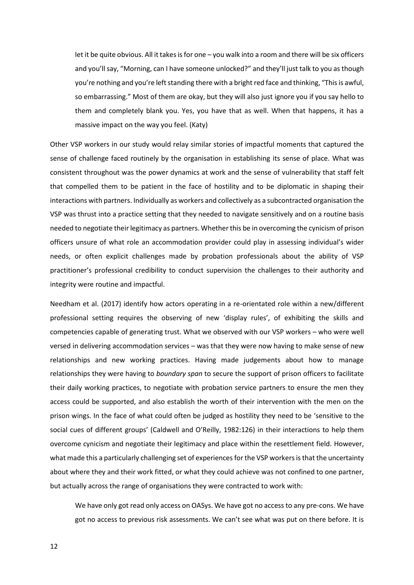let it be quite obvious. All it takes is for one – you walk into a room and there will be six officers and you'll say, "Morning, can I have someone unlocked?" and they'll just talk to you as though you're nothing and you're left standing there with a bright red face and thinking, "This is awful, so embarrassing." Most of them are okay, but they will also just ignore you if you say hello to them and completely blank you. Yes, you have that as well. When that happens, it has a massive impact on the way you feel. (Katy)

Other VSP workers in our study would relay similar stories of impactful moments that captured the sense of challenge faced routinely by the organisation in establishing its sense of place. What was consistent throughout was the power dynamics at work and the sense of vulnerability that staff felt that compelled them to be patient in the face of hostility and to be diplomatic in shaping their interactions with partners. Individually as workers and collectively as a subcontracted organisation the VSP was thrust into a practice setting that they needed to navigate sensitively and on a routine basis needed to negotiate their legitimacy as partners. Whether this be in overcoming the cynicism of prison officers unsure of what role an accommodation provider could play in assessing individual's wider needs, or often explicit challenges made by probation professionals about the ability of VSP practitioner's professional credibility to conduct supervision the challenges to their authority and integrity were routine and impactful.

Needham et al. (2017) identify how actors operating in a re-orientated role within a new/different professional setting requires the observing of new 'display rules', of exhibiting the skills and competencies capable of generating trust. What we observed with our VSP workers – who were well versed in delivering accommodation services – was that they were now having to make sense of new relationships and new working practices. Having made judgements about how to manage relationships they were having to *boundary span* to secure the support of prison officers to facilitate their daily working practices, to negotiate with probation service partners to ensure the men they access could be supported, and also establish the worth of their intervention with the men on the prison wings. In the face of what could often be judged as hostility they need to be 'sensitive to the social cues of different groups' (Caldwell and O'Reilly, 1982:126) in their interactions to help them overcome cynicism and negotiate their legitimacy and place within the resettlement field. However, what made this a particularly challenging set of experiences for the VSP workers is that the uncertainty about where they and their work fitted, or what they could achieve was not confined to one partner, but actually across the range of organisations they were contracted to work with:

We have only got read only access on OASys. We have got no access to any pre-cons. We have got no access to previous risk assessments. We can't see what was put on there before. It is

12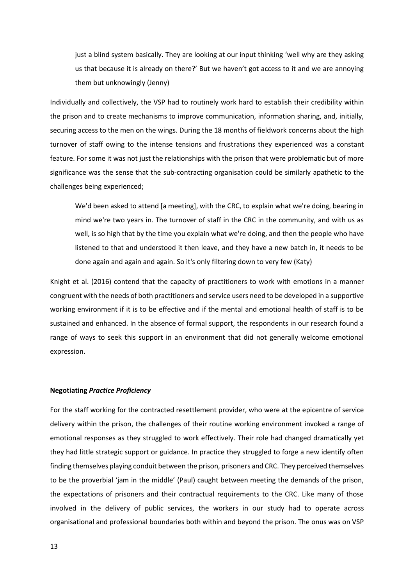just a blind system basically. They are looking at our input thinking 'well why are they asking us that because it is already on there?' But we haven't got access to it and we are annoying them but unknowingly (Jenny)

Individually and collectively, the VSP had to routinely work hard to establish their credibility within the prison and to create mechanisms to improve communication, information sharing, and, initially, securing access to the men on the wings. During the 18 months of fieldwork concerns about the high turnover of staff owing to the intense tensions and frustrations they experienced was a constant feature. For some it was not just the relationships with the prison that were problematic but of more significance was the sense that the sub-contracting organisation could be similarly apathetic to the challenges being experienced;

We'd been asked to attend [a meeting], with the CRC, to explain what we're doing, bearing in mind we're two years in. The turnover of staff in the CRC in the community, and with us as well, is so high that by the time you explain what we're doing, and then the people who have listened to that and understood it then leave, and they have a new batch in, it needs to be done again and again and again. So it's only filtering down to very few (Katy)

Knight et al. (2016) contend that the capacity of practitioners to work with emotions in a manner congruent with the needs of both practitioners and service users need to be developed in a supportive working environment if it is to be effective and if the mental and emotional health of staff is to be sustained and enhanced. In the absence of formal support, the respondents in our research found a range of ways to seek this support in an environment that did not generally welcome emotional expression.

### **Negotiating** *Practice Proficiency*

For the staff working for the contracted resettlement provider, who were at the epicentre of service delivery within the prison, the challenges of their routine working environment invoked a range of emotional responses as they struggled to work effectively. Their role had changed dramatically yet they had little strategic support or guidance. In practice they struggled to forge a new identify often finding themselves playing conduit between the prison, prisoners and CRC. They perceived themselves to be the proverbial 'jam in the middle' (Paul) caught between meeting the demands of the prison, the expectations of prisoners and their contractual requirements to the CRC. Like many of those involved in the delivery of public services, the workers in our study had to operate across organisational and professional boundaries both within and beyond the prison. The onus was on VSP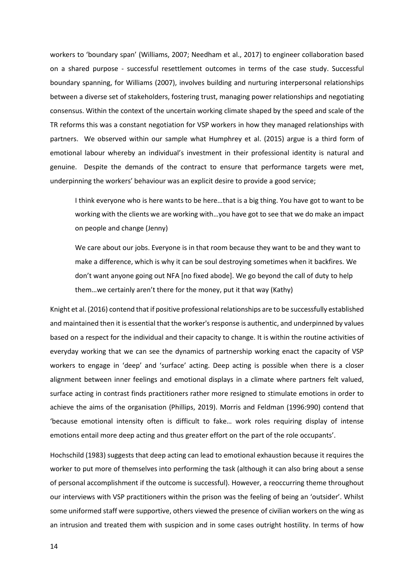workers to 'boundary span' (Williams, 2007; Needham et al., 2017) to engineer collaboration based on a shared purpose - successful resettlement outcomes in terms of the case study. Successful boundary spanning, for Williams (2007), involves building and nurturing interpersonal relationships between a diverse set of stakeholders, fostering trust, managing power relationships and negotiating consensus. Within the context of the uncertain working climate shaped by the speed and scale of the TR reforms this was a constant negotiation for VSP workers in how they managed relationships with partners.We observed within our sample what Humphrey et al. (2015) argue is a third form of emotional labour whereby an individual's investment in their professional identity is natural and genuine. Despite the demands of the contract to ensure that performance targets were met, underpinning the workers' behaviour was an explicit desire to provide a good service;

I think everyone who is here wants to be here…that is a big thing. You have got to want to be working with the clients we are working with…you have got to see that we do make an impact on people and change (Jenny)

We care about our jobs. Everyone is in that room because they want to be and they want to make a difference, which is why it can be soul destroying sometimes when it backfires. We don't want anyone going out NFA [no fixed abode]. We go beyond the call of duty to help them…we certainly aren't there for the money, put it that way (Kathy)

Knight et al. (2016) contend that if positive professional relationships are to be successfully established and maintained then it is essential that the worker's response is authentic, and underpinned by values based on a respect for the individual and their capacity to change. It is within the routine activities of everyday working that we can see the dynamics of partnership working enact the capacity of VSP workers to engage in 'deep' and 'surface' acting. Deep acting is possible when there is a closer alignment between inner feelings and emotional displays in a climate where partners felt valued, surface acting in contrast finds practitioners rather more resigned to stimulate emotions in order to achieve the aims of the organisation (Phillips, 2019). Morris and Feldman (1996:990) contend that 'because emotional intensity often is difficult to fake… work roles requiring display of intense emotions entail more deep acting and thus greater effort on the part of the role occupants'.

Hochschild (1983) suggests that deep acting can lead to emotional exhaustion because it requires the worker to put more of themselves into performing the task (although it can also bring about a sense of personal accomplishment if the outcome is successful). However, a reoccurring theme throughout our interviews with VSP practitioners within the prison was the feeling of being an 'outsider'. Whilst some uniformed staff were supportive, others viewed the presence of civilian workers on the wing as an intrusion and treated them with suspicion and in some cases outright hostility. In terms of how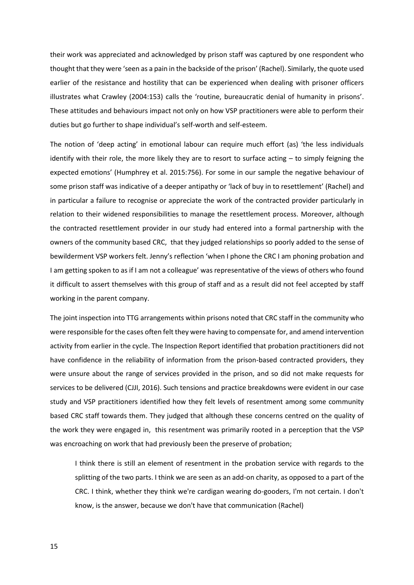their work was appreciated and acknowledged by prison staff was captured by one respondent who thought that they were 'seen as a pain in the backside of the prison' (Rachel). Similarly, the quote used earlier of the resistance and hostility that can be experienced when dealing with prisoner officers illustrates what Crawley (2004:153) calls the 'routine, bureaucratic denial of humanity in prisons'. These attitudes and behaviours impact not only on how VSP practitioners were able to perform their duties but go further to shape individual's self-worth and self-esteem.

The notion of 'deep acting' in emotional labour can require much effort (as) 'the less individuals identify with their role, the more likely they are to resort to surface acting – to simply feigning the expected emotions' (Humphrey et al. 2015:756). For some in our sample the negative behaviour of some prison staff was indicative of a deeper antipathy or 'lack of buy in to resettlement' (Rachel) and in particular a failure to recognise or appreciate the work of the contracted provider particularly in relation to their widened responsibilities to manage the resettlement process. Moreover, although the contracted resettlement provider in our study had entered into a formal partnership with the owners of the community based CRC, that they judged relationships so poorly added to the sense of bewilderment VSP workers felt. Jenny's reflection 'when I phone the CRC I am phoning probation and I am getting spoken to as if I am not a colleague' was representative of the views of others who found it difficult to assert themselves with this group of staff and as a result did not feel accepted by staff working in the parent company.

The joint inspection into TTG arrangements within prisons noted that CRC staff in the community who were responsible for the cases often felt they were having to compensate for, and amend intervention activity from earlier in the cycle. The Inspection Report identified that probation practitioners did not have confidence in the reliability of information from the prison-based contracted providers, they were unsure about the range of services provided in the prison, and so did not make requests for services to be delivered (CJJI, 2016). Such tensions and practice breakdowns were evident in our case study and VSP practitioners identified how they felt levels of resentment among some community based CRC staff towards them. They judged that although these concerns centred on the quality of the work they were engaged in, this resentment was primarily rooted in a perception that the VSP was encroaching on work that had previously been the preserve of probation;

I think there is still an element of resentment in the probation service with regards to the splitting of the two parts. I think we are seen as an add-on charity, as opposed to a part of the CRC. I think, whether they think we're cardigan wearing do-gooders, I'm not certain. I don't know, is the answer, because we don't have that communication (Rachel)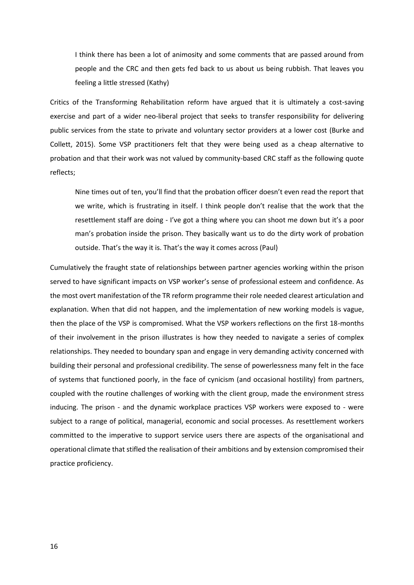I think there has been a lot of animosity and some comments that are passed around from people and the CRC and then gets fed back to us about us being rubbish. That leaves you feeling a little stressed (Kathy)

Critics of the Transforming Rehabilitation reform have argued that it is ultimately a cost-saving exercise and part of a wider neo-liberal project that seeks to transfer responsibility for delivering public services from the state to private and voluntary sector providers at a lower cost (Burke and Collett, 2015). Some VSP practitioners felt that they were being used as a cheap alternative to probation and that their work was not valued by community-based CRC staff as the following quote reflects;

Nine times out of ten, you'll find that the probation officer doesn't even read the report that we write, which is frustrating in itself. I think people don't realise that the work that the resettlement staff are doing - I've got a thing where you can shoot me down but it's a poor man's probation inside the prison. They basically want us to do the dirty work of probation outside. That's the way it is. That's the way it comes across (Paul)

Cumulatively the fraught state of relationships between partner agencies working within the prison served to have significant impacts on VSP worker's sense of professional esteem and confidence. As the most overt manifestation of the TR reform programme their role needed clearest articulation and explanation. When that did not happen, and the implementation of new working models is vague, then the place of the VSP is compromised. What the VSP workers reflections on the first 18-months of their involvement in the prison illustrates is how they needed to navigate a series of complex relationships. They needed to boundary span and engage in very demanding activity concerned with building their personal and professional credibility. The sense of powerlessness many felt in the face of systems that functioned poorly, in the face of cynicism (and occasional hostility) from partners, coupled with the routine challenges of working with the client group, made the environment stress inducing. The prison - and the dynamic workplace practices VSP workers were exposed to - were subject to a range of political, managerial, economic and social processes. As resettlement workers committed to the imperative to support service users there are aspects of the organisational and operational climate that stifled the realisation of their ambitions and by extension compromised their practice proficiency.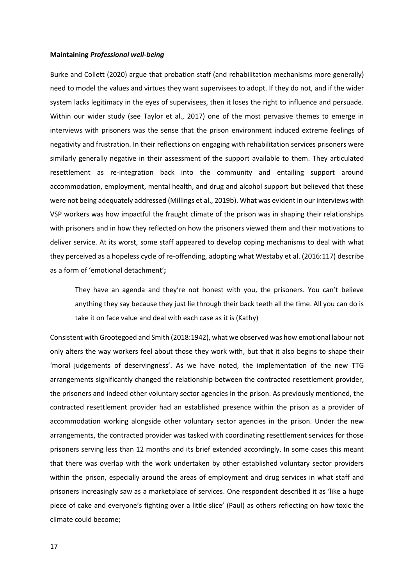#### **Maintaining** *Professional well-being*

Burke and Collett (2020) argue that probation staff (and rehabilitation mechanisms more generally) need to model the values and virtues they want supervisees to adopt. If they do not, and if the wider system lacks legitimacy in the eyes of supervisees, then it loses the right to influence and persuade. Within our wider study (see Taylor et al., 2017) one of the most pervasive themes to emerge in interviews with prisoners was the sense that the prison environment induced extreme feelings of negativity and frustration. In their reflections on engaging with rehabilitation services prisoners were similarly generally negative in their assessment of the support available to them. They articulated resettlement as re-integration back into the community and entailing support around accommodation, employment, mental health, and drug and alcohol support but believed that these were not being adequately addressed (Millings et al., 2019b). What was evident in our interviews with VSP workers was how impactful the fraught climate of the prison was in shaping their relationships with prisoners and in how they reflected on how the prisoners viewed them and their motivations to deliver service. At its worst, some staff appeared to develop coping mechanisms to deal with what they perceived as a hopeless cycle of re-offending, adopting what Westaby et al. (2016:117) describe as a form of 'emotional detachment'**;**

They have an agenda and they're not honest with you, the prisoners. You can't believe anything they say because they just lie through their back teeth all the time. All you can do is take it on face value and deal with each case as it is (Kathy)

Consistent with Grootegoed and Smith (2018:1942), what we observed was how emotional labour not only alters the way workers feel about those they work with, but that it also begins to shape their 'moral judgements of deservingness'. As we have noted, the implementation of the new TTG arrangements significantly changed the relationship between the contracted resettlement provider, the prisoners and indeed other voluntary sector agencies in the prison. As previously mentioned, the contracted resettlement provider had an established presence within the prison as a provider of accommodation working alongside other voluntary sector agencies in the prison. Under the new arrangements, the contracted provider was tasked with coordinating resettlement services for those prisoners serving less than 12 months and its brief extended accordingly. In some cases this meant that there was overlap with the work undertaken by other established voluntary sector providers within the prison, especially around the areas of employment and drug services in what staff and prisoners increasingly saw as a marketplace of services. One respondent described it as 'like a huge piece of cake and everyone's fighting over a little slice' (Paul) as others reflecting on how toxic the climate could become;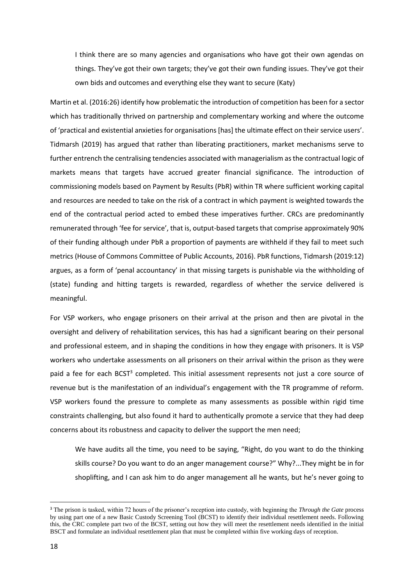I think there are so many agencies and organisations who have got their own agendas on things. They've got their own targets; they've got their own funding issues. They've got their own bids and outcomes and everything else they want to secure (Katy)

Martin et al. (2016:26) identify how problematic the introduction of competition has been for a sector which has traditionally thrived on partnership and complementary working and where the outcome of 'practical and existential anxieties for organisations [has] the ultimate effect on their service users'. Tidmarsh (2019) has argued that rather than liberating practitioners, market mechanisms serve to further entrench the centralising tendencies associated with managerialism as the contractual logic of markets means that targets have accrued greater financial significance. The introduction of commissioning models based on Payment by Results (PbR) within TR where sufficient working capital and resources are needed to take on the risk of a contract in which payment is weighted towards the end of the contractual period acted to embed these imperatives further. CRCs are predominantly remunerated through 'fee for service', that is, output-based targets that comprise approximately 90% of their funding although under PbR a proportion of payments are withheld if they fail to meet such metrics (House of Commons Committee of Public Accounts, 2016). PbR functions, Tidmarsh (2019:12) argues, as a form of 'penal accountancy' in that missing targets is punishable via the withholding of (state) funding and hitting targets is rewarded, regardless of whether the service delivered is meaningful.

For VSP workers, who engage prisoners on their arrival at the prison and then are pivotal in the oversight and delivery of rehabilitation services, this has had a significant bearing on their personal and professional esteem, and in shaping the conditions in how they engage with prisoners. It is VSP workers who undertake assessments on all prisoners on their arrival within the prison as they were paid a fee for each BCST<sup>3</sup> completed. This initial assessment represents not just a core source of revenue but is the manifestation of an individual's engagement with the TR programme of reform. VSP workers found the pressure to complete as many assessments as possible within rigid time constraints challenging, but also found it hard to authentically promote a service that they had deep concerns about its robustness and capacity to deliver the support the men need;

We have audits all the time, you need to be saying, "Right, do you want to do the thinking skills course? Do you want to do an anger management course?" Why?...They might be in for shoplifting, and I can ask him to do anger management all he wants, but he's never going to

**.** 

<sup>3</sup> The prison is tasked, within 72 hours of the prisoner's reception into custody, with beginning the *Through the Gate* process by using part one of a new Basic Custody Screening Tool (BCST) to identify their individual resettlement needs. Following this, the CRC complete part two of the BCST, setting out how they will meet the resettlement needs identified in the initial BSCT and formulate an individual resettlement plan that must be completed within five working days of reception.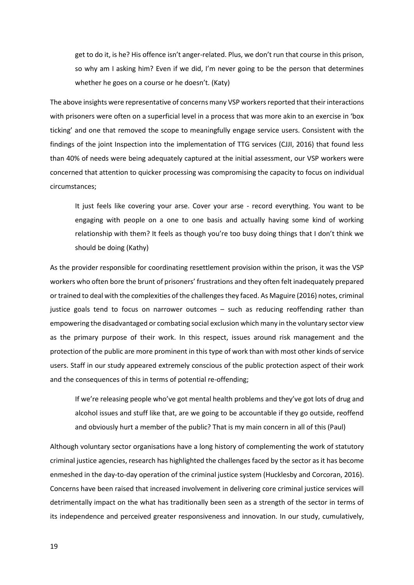get to do it, is he? His offence isn't anger-related. Plus, we don't run that course in this prison, so why am I asking him? Even if we did, I'm never going to be the person that determines whether he goes on a course or he doesn't. (Katy)

The above insights were representative of concerns many VSP workers reported that their interactions with prisoners were often on a superficial level in a process that was more akin to an exercise in 'box ticking' and one that removed the scope to meaningfully engage service users. Consistent with the findings of the joint Inspection into the implementation of TTG services (CJJI, 2016) that found less than 40% of needs were being adequately captured at the initial assessment, our VSP workers were concerned that attention to quicker processing was compromising the capacity to focus on individual circumstances;

It just feels like covering your arse. Cover your arse - record everything. You want to be engaging with people on a one to one basis and actually having some kind of working relationship with them? It feels as though you're too busy doing things that I don't think we should be doing (Kathy)

As the provider responsible for coordinating resettlement provision within the prison, it was the VSP workers who often bore the brunt of prisoners' frustrations and they often felt inadequately prepared or trained to deal with the complexities of the challenges they faced. As Maguire (2016) notes, criminal justice goals tend to focus on narrower outcomes – such as reducing reoffending rather than empowering the disadvantaged or combating social exclusion which many in the voluntary sector view as the primary purpose of their work. In this respect, issues around risk management and the protection of the public are more prominent in this type of work than with most other kinds of service users. Staff in our study appeared extremely conscious of the public protection aspect of their work and the consequences of this in terms of potential re-offending;

If we're releasing people who've got mental health problems and they've got lots of drug and alcohol issues and stuff like that, are we going to be accountable if they go outside, reoffend and obviously hurt a member of the public? That is my main concern in all of this (Paul)

Although voluntary sector organisations have a long history of complementing the work of statutory criminal justice agencies, research has highlighted the challenges faced by the sector as it has become enmeshed in the day-to-day operation of the criminal justice system (Hucklesby and Corcoran, 2016). Concerns have been raised that increased involvement in delivering core criminal justice services will detrimentally impact on the what has traditionally been seen as a strength of the sector in terms of its independence and perceived greater responsiveness and innovation. In our study, cumulatively,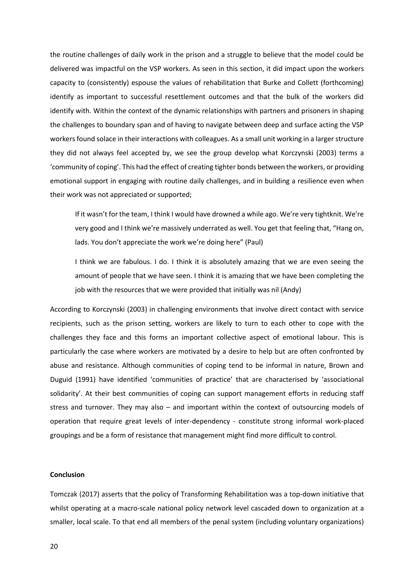the routine challenges of daily work in the prison and a struggle to believe that the model could be delivered was impactful on the VSP workers. As seen in this section, it did impact upon the workers capacity to (consistently) espouse the values of rehabilitation that Burke and Collett (forthcoming) identify as important to successful resettlement outcomes and that the bulk of the workers did identify with. Within the context of the dynamic relationships with partners and prisoners in shaping the challenges to boundary span and of having to navigate between deep and surface acting the VSP workers found solace in their interactions with colleagues. As a small unit working in a larger structure they did not always feel accepted by, we see the group develop what Korczynski (2003) terms a 'community of coping'. This had the effect of creating tighter bonds between the workers, or providing emotional support in engaging with routine daily challenges, and in building a resilience even when their work was not appreciated or supported;

If it wasn't for the team, I think I would have drowned a while ago. We're very tightknit. We're very good and I think we're massively underrated as well. You get that feeling that, "Hang on, lads. You don't appreciate the work we're doing here" (Paul)

I think we are fabulous. I do. I think it is absolutely amazing that we are even seeing the amount of people that we have seen. I think it is amazing that we have been completing the job with the resources that we were provided that initially was nil (Andy)

According to Korczynski (2003) in challenging environments that involve direct contact with service recipients, such as the prison setting, workers are likely to turn to each other to cope with the challenges they face and this forms an important collective aspect of emotional labour. This is particularly the case where workers are motivated by a desire to help but are often confronted by abuse and resistance. Although communities of coping tend to be informal in nature, Brown and Duguid (1991) have identified 'communities of practice' that are characterised by 'associational solidarity'. At their best communities of coping can support management efforts in reducing staff stress and turnover. They may also – and important within the context of outsourcing models of operation that require great levels of inter-dependency - constitute strong informal work-placed groupings and be a form of resistance that management might find more difficult to control.

# **Conclusion**

Tomczak (2017) asserts that the policy of Transforming Rehabilitation was a top-down initiative that whilst operating at a macro-scale national policy network level cascaded down to organization at a smaller, local scale. To that end all members of the penal system (including voluntary organizations)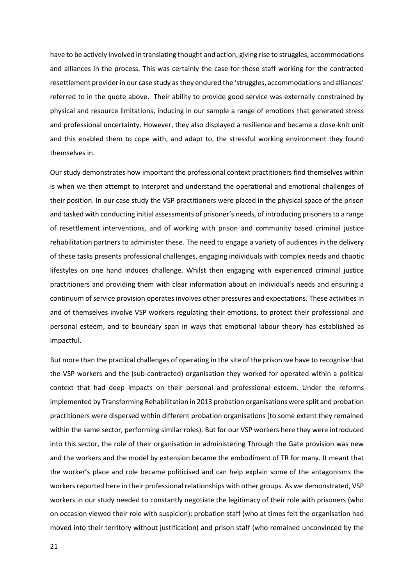have to be actively involved in translating thought and action, giving rise to struggles, accommodations and alliances in the process. This was certainly the case for those staff working for the contracted resettlement provider in our case study as they endured the 'struggles, accommodations and alliances' referred to in the quote above. Their ability to provide good service was externally constrained by physical and resource limitations, inducing in our sample a range of emotions that generated stress and professional uncertainty. However, they also displayed a resilience and became a close-knit unit and this enabled them to cope with, and adapt to, the stressful working environment they found themselves in.

Our study demonstrates how important the professional context practitioners find themselves within is when we then attempt to interpret and understand the operational and emotional challenges of their position. In our case study the VSP practitioners were placed in the physical space of the prison and tasked with conducting initial assessments of prisoner's needs, of introducing prisoners to a range of resettlement interventions, and of working with prison and community based criminal justice rehabilitation partners to administer these. The need to engage a variety of audiences in the delivery of these tasks presents professional challenges, engaging individuals with complex needs and chaotic lifestyles on one hand induces challenge. Whilst then engaging with experienced criminal justice practitioners and providing them with clear information about an individual's needs and ensuring a continuum of service provision operates involves other pressures and expectations. These activities in and of themselves involve VSP workers regulating their emotions, to protect their professional and personal esteem, and to boundary span in ways that emotional labour theory has established as impactful.

But more than the practical challenges of operating in the site of the prison we have to recognise that the VSP workers and the (sub-contracted) organisation they worked for operated within a political context that had deep impacts on their personal and professional esteem. Under the reforms implemented by Transforming Rehabilitation in 2013 probation organisations were split and probation practitioners were dispersed within different probation organisations (to some extent they remained within the same sector, performing similar roles). But for our VSP workers here they were introduced into this sector, the role of their organisation in administering Through the Gate provision was new and the workers and the model by extension became the embodiment of TR for many. It meant that the worker's place and role became politicised and can help explain some of the antagonisms the workers reported here in their professional relationships with other groups. As we demonstrated, VSP workers in our study needed to constantly negotiate the legitimacy of their role with prisoners (who on occasion viewed their role with suspicion); probation staff (who at times felt the organisation had moved into their territory without justification) and prison staff (who remained unconvinced by the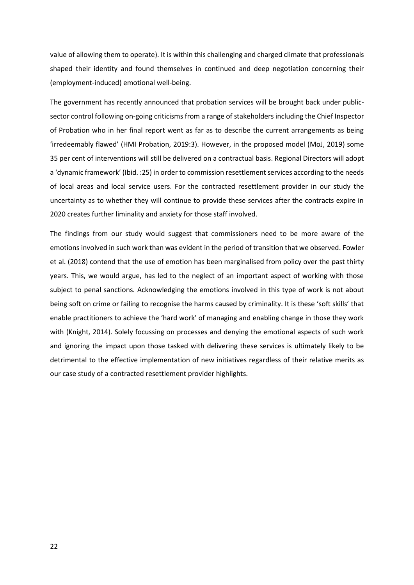value of allowing them to operate). It is within this challenging and charged climate that professionals shaped their identity and found themselves in continued and deep negotiation concerning their (employment-induced) emotional well-being.

The government has recently announced that probation services will be brought back under publicsector control following on-going criticisms from a range of stakeholders including the Chief Inspector of Probation who in her final report went as far as to describe the current arrangements as being 'irredeemably flawed' (HMI Probation, 2019:3). However, in the proposed model (MoJ, 2019) some 35 per cent of interventions will still be delivered on a contractual basis. Regional Directors will adopt a 'dynamic framework' (Ibid. :25) in order to commission resettlement services according to the needs of local areas and local service users. For the contracted resettlement provider in our study the uncertainty as to whether they will continue to provide these services after the contracts expire in 2020 creates further liminality and anxiety for those staff involved.

The findings from our study would suggest that commissioners need to be more aware of the emotions involved in such work than was evident in the period of transition that we observed. Fowler et al. (2018) contend that the use of emotion has been marginalised from policy over the past thirty years. This, we would argue, has led to the neglect of an important aspect of working with those subject to penal sanctions. Acknowledging the emotions involved in this type of work is not about being soft on crime or failing to recognise the harms caused by criminality. It is these 'soft skills' that enable practitioners to achieve the 'hard work' of managing and enabling change in those they work with (Knight, 2014). Solely focussing on processes and denying the emotional aspects of such work and ignoring the impact upon those tasked with delivering these services is ultimately likely to be detrimental to the effective implementation of new initiatives regardless of their relative merits as our case study of a contracted resettlement provider highlights.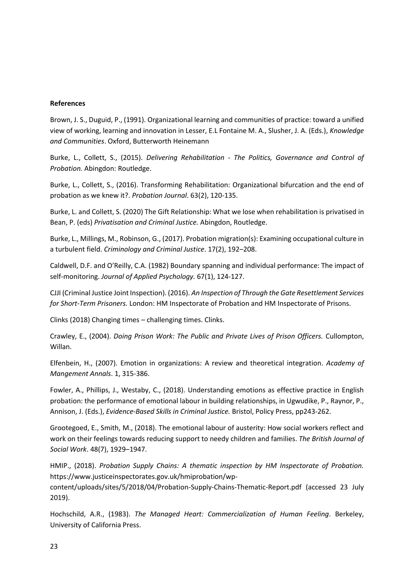# **References**

Brown, J. S., Duguid, P., (1991). Organizational learning and communities of practice: toward a unified view of working, learning and innovation in Lesser, E.L Fontaine M. A., Slusher, J. A. (Eds.), *Knowledge and Communities*. Oxford, Butterworth Heinemann

Burke, L., Collett, S., (2015). *Delivering Rehabilitation - The Politics, Governance and Control of Probation.* Abingdon: Routledge.

Burke, L., Collett, S., (2016). Transforming Rehabilitation: Organizational bifurcation and the end of probation as we knew it?. *Probation Journal*. 63(2), 120-135.

Burke, L. and Collett, S. (2020) The Gift Relationship: What we lose when rehabilitation is privatised in Bean, P. (eds) *Privatisation and Criminal Justice.* Abingdon, Routledge.

Burke, L., Millings, M., Robinson, G., (2017). Probation migration(s): Examining occupational culture in a turbulent field. *Criminology and Criminal Justice*. 17(2), 192–208.

Caldwell, D.F. and O'Reilly, C.A. (1982) Boundary spanning and individual performance: The impact of self-monitoring. *Journal of Applied Psychology.* 67(1), 124-127.

CJJI (Criminal Justice Joint Inspection). (2016). *An Inspection of Through the Gate Resettlement Services for Short-Term Prisoners.* London: HM Inspectorate of Probation and HM Inspectorate of Prisons.

Clinks (2018) Changing times – challenging times. Clinks.

Crawley, E., (2004). *Doing Prison Work: The Public and Private Lives of Prison Officers.* Cullompton, Willan.

Elfenbein, H., (2007). Emotion in organizations: A review and theoretical integration. *Academy of Mangement Annals*. 1, 315-386.

Fowler, A., Phillips, J., Westaby, C., (2018). Understanding emotions as effective practice in English probation: the performance of emotional labour in building relationships, in Ugwudike, P., Raynor, P., Annison, J. (Eds.), *Evidence-Based Skills in Criminal Justice.* Bristol, Policy Press, pp243-262.

Grootegoed, E., Smith, M., (2018). The emotional labour of austerity: How social workers reflect and work on their feelings towards reducing support to needy children and families. *The British Journal of Social Work*. 48(7), 1929–1947.

HMIP., (2018). *Probation Supply Chains: A thematic inspection by HM Inspectorate of Probation.*  https://www.justiceinspectorates.gov.uk/hmiprobation/wp-

content/uploads/sites/5/2018/04/Probation-Supply-Chains-Thematic-Report.pdf (accessed 23 July 2019).

Hochschild, A.R., (1983). *The Managed Heart: Commercialization of Human Feeling*. Berkeley, University of California Press.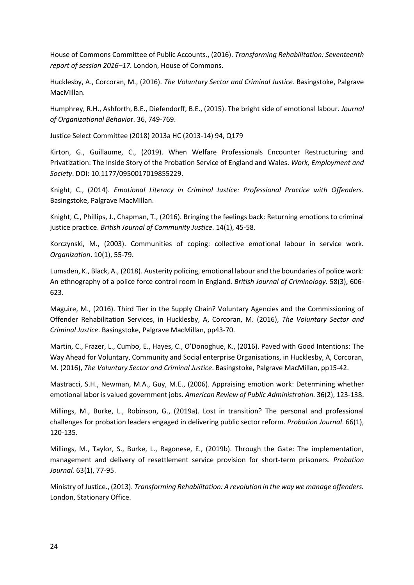House of Commons Committee of Public Accounts., (2016). *Transforming Rehabilitation: Seventeenth report of session 2016–17.* London, House of Commons.

Hucklesby, A., Corcoran, M., (2016). *The Voluntary Sector and Criminal Justice*. Basingstoke, Palgrave MacMillan.

Humphrey, R.H., Ashforth, B.E., Diefendorff, B.E., (2015). The bright side of emotional labour. *Journal of Organizational Behavio*r. 36, 749-769.

Justice Select Committee (2018) 2013a HC (2013-14) 94, Q179

Kirton, G., Guillaume, C., (2019). When Welfare Professionals Encounter Restructuring and Privatization: The Inside Story of the Probation Service of England and Wales. *Work, Employment and Society*. DOI: 10.1177/0950017019855229.

Knight, C., (2014). *Emotional Literacy in Criminal Justice: Professional Practice with Offenders.*  Basingstoke, Palgrave MacMillan.

Knight, C., Phillips, J., Chapman, T., (2016). Bringing the feelings back: Returning emotions to criminal justice practice. *British Journal of Community Justice*. 14(1), 45-58.

Korczynski, M., (2003). Communities of coping: collective emotional labour in service work. *Organization*. 10(1), 55-79.

Lumsden, K., Black, A., (2018). Austerity policing, emotional labour and the boundaries of police work: An ethnography of a police force control room in England. *British Journal of Criminology.* 58(3), 606- 623.

Maguire, M., (2016). Third Tier in the Supply Chain? Voluntary Agencies and the Commissioning of Offender Rehabilitation Services, in Hucklesby, A, Corcoran, M. (2016), *The Voluntary Sector and Criminal Justice*. Basingstoke, Palgrave MacMillan, pp43-70.

Martin, C., Frazer, L., Cumbo, E., Hayes, C., O'Donoghue, K., (2016). Paved with Good Intentions: The Way Ahead for Voluntary, Community and Social enterprise Organisations, in Hucklesby, A, Corcoran, M. (2016), *The Voluntary Sector and Criminal Justice*. Basingstoke, Palgrave MacMillan, pp15-42.

Mastracci, S.H., Newman, M.A., Guy, M.E., (2006). Appraising emotion work: Determining whether emotional labor is valued government jobs. *American Review of Public Administration.* 36(2), 123-138.

Millings, M., Burke, L., Robinson, G., (2019a). Lost in transition? The personal and professional challenges for probation leaders engaged in delivering public sector reform. *Probation Journal*. 66(1), 120-135.

Millings, M., Taylor, S., Burke, L., Ragonese, E., (2019b). Through the Gate: The implementation, management and delivery of resettlement service provision for short-term prisoners. *Probation Journal.* 63(1), 77-95.

Ministry of Justice., (2013). *Transforming Rehabilitation: A revolution in the way we manage offenders.* London, Stationary Office.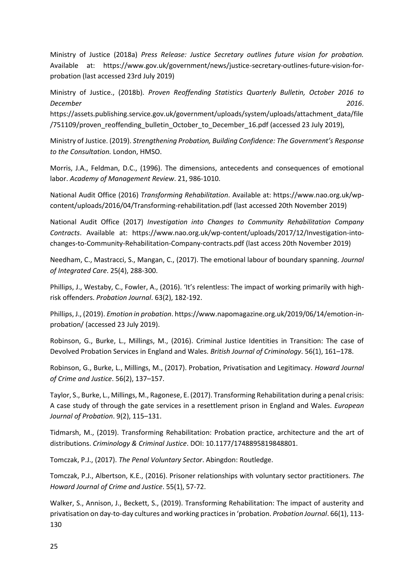Ministry of Justice (2018a) *Press Release: Justice Secretary outlines future vision for probation.* Available at: https://www.gov.uk/government/news/justice-secretary-outlines-future-vision-forprobation (last accessed 23rd July 2019)

Ministry of Justice., (2018b). *Proven Reoffending Statistics Quarterly Bulletin, October 2016 to December 2016*.

https://assets.publishing.service.gov.uk/government/uploads/system/uploads/attachment\_data/file /751109/proven\_reoffending\_bulletin\_October\_to\_December\_16.pdf (accessed 23 July 2019),

Ministry of Justice. (2019). *Strengthening Probation, Building Confidence: The Government's Response to the Consultation.* London, HMSO.

Morris, J.A., Feldman, D.C., (1996). The dimensions, antecedents and consequences of emotional labor. *Academy of Management Review*. 21, 986-1010.

National Audit Office (2016) *Transforming Rehabilitation*. Available at: https://www.nao.org.uk/wpcontent/uploads/2016/04/Transforming-rehabilitation.pdf (last accessed 20th November 2019)

National Audit Office (2017) *Investigation into Changes to Community Rehabilitation Company Contracts*. Available at: https://www.nao.org.uk/wp-content/uploads/2017/12/Investigation-intochanges-to-Community-Rehabilitation-Company-contracts.pdf (last access 20th November 2019)

Needham, C., Mastracci, S., Mangan, C., (2017). The emotional labour of boundary spanning. *Journal of Integrated Care*. 25(4), 288-300.

Phillips, J., Westaby, C., Fowler, A., (2016). 'It's relentless: The impact of working primarily with highrisk offenders. *Probation Journal*. 63(2), 182-192.

Phillips, J., (2019). *Emotion in probation*. https://www.napomagazine.org.uk/2019/06/14/emotion-inprobation/ (accessed 23 July 2019).

Robinson, G., Burke, L., Millings, M., (2016). Criminal Justice Identities in Transition: The case of Devolved Probation Services in England and Wales. *British Journal of Criminology*. 56(1), 161–178.

Robinson, G., Burke, L., Millings, M., (2017). Probation, Privatisation and Legitimacy. *Howard Journal of Crime and Justice*. 56(2), 137–157.

Taylor, S., Burke, L., Millings, M., Ragonese, E. (2017). Transforming Rehabilitation during a penal crisis: A case study of through the gate services in a resettlement prison in England and Wales. *European Journal of Probation*. 9(2), 115–131.

Tidmarsh, M., (2019). Transforming Rehabilitation: Probation practice, architecture and the art of distributions. *Criminology & Criminal Justice*. DOI: 10.1177/1748895819848801.

Tomczak, P.J., (2017). *The Penal Voluntary Sector*. Abingdon: Routledge.

Tomczak, P.J., Albertson, K.E., (2016). Prisoner relationships with voluntary sector practitioners. *The Howard Journal of Crime and Justice*. 55(1), 57-72.

Walker, S., Annison, J., Beckett, S., (2019). Transforming Rehabilitation: The impact of austerity and privatisation on day-to-day cultures and working practices in 'probation. *Probation Journal*. 66(1), 113- 130